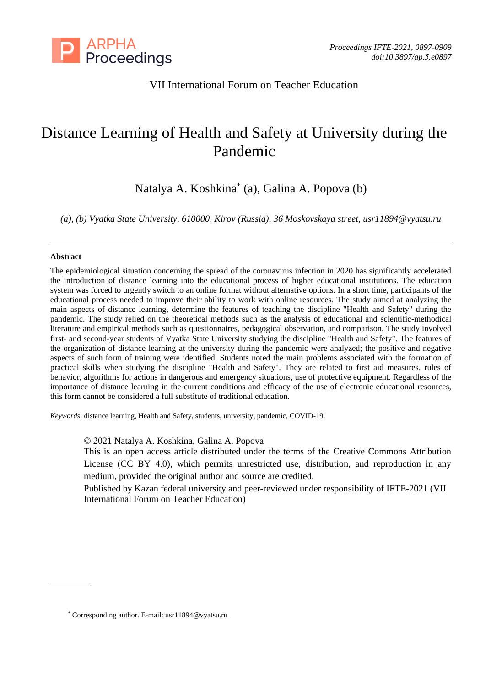

## VII International Forum on Teacher Education

# Distance Learning of Health and Safety at University during the Pandemic

Natalya A. Koshkina\* (a), Galina A. Popova (b)

*(a), (b) Vyatka State University, 610000, Kirov (Russia), 36 Moskovskaya street, usr11894@vyatsu.ru*

#### **Abstract**

The epidemiological situation concerning the spread of the coronavirus infection in 2020 has significantly accelerated the introduction of distance learning into the educational process of higher educational institutions. The education system was forced to urgently switch to an online format without alternative options. In a short time, participants of the educational process needed to improve their ability to work with online resources. The study aimed at analyzing the main aspects of distance learning, determine the features of teaching the discipline "Health and Safety" during the pandemic. The study relied on the theoretical methods such as the analysis of educational and scientific-methodical literature and empirical methods such as questionnaires, pedagogical observation, and comparison. The study involved first- and second-year students of Vyatka State University studying the discipline "Health and Safety". The features of the organization of distance learning at the university during the pandemic were analyzed; the positive and negative aspects of such form of training were identified. Students noted the main problems associated with the formation of practical skills when studying the discipline "Health and Safety". They are related to first aid measures, rules of behavior, algorithms for actions in dangerous and emergency situations, use of protective equipment. Regardless of the importance of distance learning in the current conditions and efficacy of the use of electronic educational resources, this form cannot be considered a full substitute of traditional education.

*Keywords*: distance learning, Health and Safety, students, university, pandemic, COVID-19.

© 2021 Natalya A. Koshkina, Galina A. Popova

This is an open access article distributed under the terms of the Creative Commons Attribution License (CC BY 4.0), which permits unrestricted use, distribution, and reproduction in any medium, provided the original author and source are credited.

Published by Kazan federal university and peer-reviewed under responsibility of IFTE-2021 (VII International Forum on Teacher Education)

<sup>\*</sup> Corresponding author. E-mail[: usr11894@vyatsu.ru](mailto:usr11894@vyatsu.ru)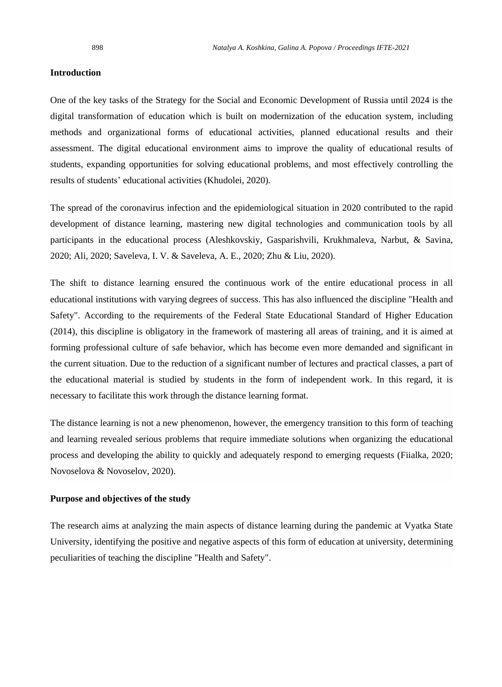#### **Introduction**

One of the key tasks of the Strategy for the Social and Economic Development of Russia until 2024 is the digital transformation of education which is built on modernization of the education system, including methods and organizational forms of educational activities, planned educational results and their assessment. The digital educational environment aims to improve the quality of educational results of students, expanding opportunities for solving educational problems, and most effectively controlling the results of students' educational activities (Khudolei, 2020).

The spread of the coronavirus infection and the epidemiological situation in 2020 contributed to the rapid development of distance learning, mastering new digital technologies and communication tools by all participants in the educational process (Aleshkovskiy, Gasparishvili, Krukhmaleva, Narbut, & Savina, 2020; Ali, 2020; Saveleva, I. V. & Saveleva, A. E., 2020; Zhu & Liu, 2020).

The shift to distance learning ensured the continuous work of the entire educational process in all educational institutions with varying degrees of success. This has also influenced the discipline "Health and Safety". According to the requirements of the Federal State Educational Standard of Higher Education (2014), this discipline is obligatory in the framework of mastering all areas of training, and it is aimed at forming professional culture of safe behavior, which has become even more demanded and significant in the current situation. Due to the reduction of a significant number of lectures and practical classes, a part of the educational material is studied by students in the form of independent work. In this regard, it is necessary to facilitate this work through the distance learning format.

The distance learning is not a new phenomenon, however, the emergency transition to this form of teaching and learning revealed serious problems that require immediate solutions when organizing the educational process and developing the ability to quickly and adequately respond to emerging requests (Fiialka, 2020; Novoselova & Novoselov, 2020).

#### **Purpose and objectives of the study**

The research aims at analyzing the main aspects of distance learning during the pandemic at Vyatka State University, identifying the positive and negative aspects of this form of education at university, determining peculiarities of teaching the discipline "Health and Safety".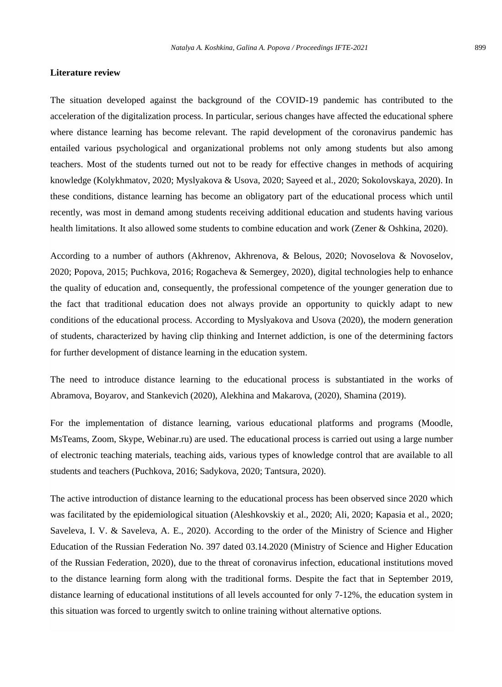#### **Literature review**

The situation developed against the background of the COVID-19 pandemic has contributed to the acceleration of the digitalization process. In particular, serious changes have affected the educational sphere where distance learning has become relevant. The rapid development of the coronavirus pandemic has entailed various psychological and organizational problems not only among students but also among teachers. Most of the students turned out not to be ready for effective changes in methods of acquiring knowledge (Kolykhmatov, 2020; Myslyakova & Usova, 2020; Sayeed et al., 2020; Sokolovskaya, 2020). In these conditions, distance learning has become an obligatory part of the educational process which until recently, was most in demand among students receiving additional education and students having various health limitations. It also allowed some students to combine education and work (Zener & Oshkina, 2020).

According to a number of authors (Akhrenov, Akhrenova, & Belous, 2020; Novoselova & Novoselov, 2020; Popova, 2015; Puchkova, 2016; Rogacheva & Semergey, 2020), digital technologies help to enhance the quality of education and, consequently, the professional competence of the younger generation due to the fact that traditional education does not always provide an opportunity to quickly adapt to new conditions of the educational process. According to Myslyakova and Usova (2020), the modern generation of students, characterized by having clip thinking and Internet addiction, is one of the determining factors for further development of distance learning in the education system.

The need to introduce distance learning to the educational process is substantiated in the works of Abramova, Boyarov, and Stankevich (2020), Alekhina and Makarova, (2020), Shamina (2019).

For the implementation of distance learning, various educational platforms and programs (Moodle, MsTeams, Zoom, Skype, Webinar.ru) are used. The educational process is carried out using a large number of electronic teaching materials, teaching aids, various types of knowledge control that are available to all students and teachers (Puchkova, 2016; Sadykova, 2020; Tantsura, 2020).

The active introduction of distance learning to the educational process has been observed since 2020 which was facilitated by the epidemiological situation (Aleshkovskiy et al., 2020; Ali, 2020; Kapasia et al., 2020; Saveleva, I. V. & Saveleva, A. E., 2020). According to the order of the Ministry of Science and Higher Education of the Russian Federation No. 397 dated 03.14.2020 (Ministry of Science and Higher Education of the Russian Federation, 2020), due to the threat of coronavirus infection, educational institutions moved to the distance learning form along with the traditional forms. Despite the fact that in September 2019, distance learning of educational institutions of all levels accounted for only 7-12%, the education system in this situation was forced to urgently switch to online training without alternative options.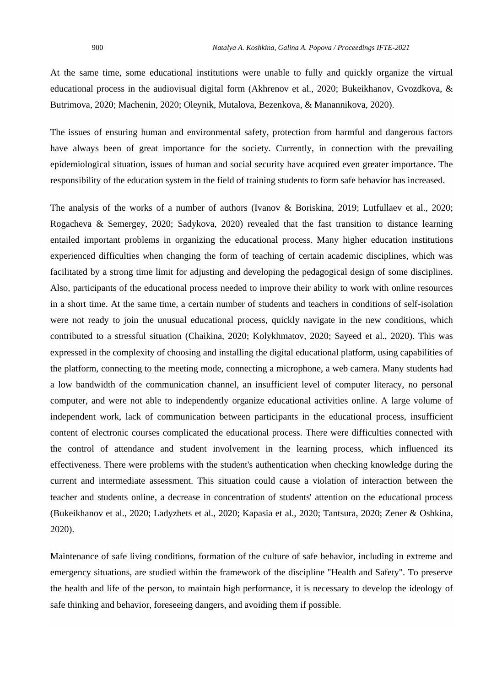At the same time, some educational institutions were unable to fully and quickly organize the virtual educational process in the audiovisual digital form (Akhrenov et al., 2020; Bukeikhanov, Gvozdkova, & Butrimova, 2020; Machenin, 2020; Oleynik, Mutalova, Bezenkova, & Manannikova, 2020).

The issues of ensuring human and environmental safety, protection from harmful and dangerous factors have always been of great importance for the society. Currently, in connection with the prevailing epidemiological situation, issues of human and social security have acquired even greater importance. The responsibility of the education system in the field of training students to form safe behavior has increased.

The analysis of the works of a number of authors (Ivanov & Boriskina, 2019; Lutfullaev et al., 2020; Rogacheva & Semergey, 2020; Sadykova, 2020) revealed that the fast transition to distance learning entailed important problems in organizing the educational process. Many higher education institutions experienced difficulties when changing the form of teaching of certain academic disciplines, which was facilitated by a strong time limit for adjusting and developing the pedagogical design of some disciplines. Also, participants of the educational process needed to improve their ability to work with online resources in a short time. At the same time, a certain number of students and teachers in conditions of self-isolation were not ready to join the unusual educational process, quickly navigate in the new conditions, which contributed to a stressful situation (Chaikina, 2020; Kolykhmatov, 2020; Sayeed et al., 2020). This was expressed in the complexity of choosing and installing the digital educational platform, using capabilities of the platform, connecting to the meeting mode, connecting a microphone, a web camera. Many students had a low bandwidth of the communication channel, an insufficient level of computer literacy, no personal computer, and were not able to independently organize educational activities online. A large volume of independent work, lack of communication between participants in the educational process, insufficient content of electronic courses complicated the educational process. There were difficulties connected with the control of attendance and student involvement in the learning process, which influenced its effectiveness. There were problems with the student's authentication when checking knowledge during the current and intermediate assessment. This situation could cause a violation of interaction between the teacher and students online, a decrease in concentration of students' attention on the educational process (Bukeikhanov et al., 2020; Ladyzhets et al., 2020; Kapasia et al., 2020; Tantsura, 2020; Zener & Oshkina, 2020).

Maintenance of safe living conditions, formation of the culture of safe behavior, including in extreme and emergency situations, are studied within the framework of the discipline "Health and Safety". To preserve the health and life of the person, to maintain high performance, it is necessary to develop the ideology of safe thinking and behavior, foreseeing dangers, and avoiding them if possible.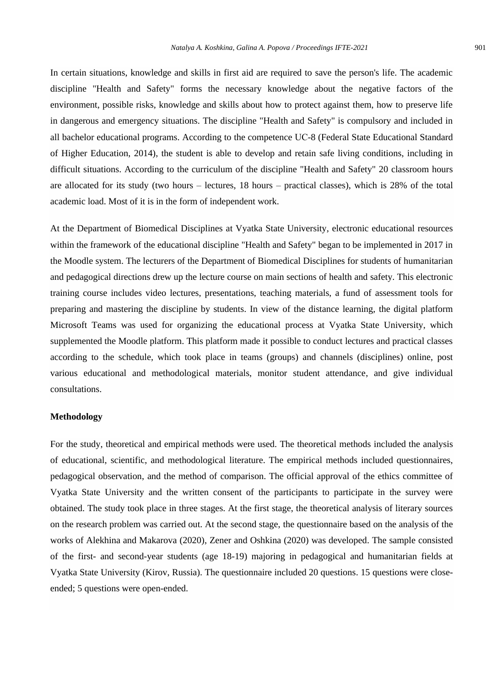In certain situations, knowledge and skills in first aid are required to save the person's life. The academic discipline "Health and Safety" forms the necessary knowledge about the negative factors of the environment, possible risks, knowledge and skills about how to protect against them, how to preserve life in dangerous and emergency situations. The discipline "Health and Safety" is compulsory and included in all bachelor educational programs. According to the competence UС-8 (Federal State Educational Standard of Higher Education, 2014), the student is able to develop and retain safe living conditions, including in difficult situations. According to the curriculum of the discipline "Health and Safety" 20 classroom hours are allocated for its study (two hours – lectures, 18 hours – practical classes), which is 28% of the total academic load. Most of it is in the form of independent work.

At the Department of Biomedical Disciplines at Vyatka State University, electronic educational resources within the framework of the educational discipline "Health and Safety" began to be implemented in 2017 in the Moodle system. The lecturers of the Department of Biomedical Disciplines for students of humanitarian and pedagogical directions drew up the lecture course on main sections of health and safety. This electronic training course includes video lectures, presentations, teaching materials, a fund of assessment tools for preparing and mastering the discipline by students. In view of the distance learning, the digital platform Microsoft Teams was used for organizing the educational process at Vyatka State University, which supplemented the Moodle platform. This platform made it possible to conduct lectures and practical classes according to the schedule, which took place in teams (groups) and channels (disciplines) online, post various educational and methodological materials, monitor student attendance, and give individual consultations.

## **Methodology**

For the study, theoretical and empirical methods were used. The theoretical methods included the analysis of educational, scientific, and methodological literature. The empirical methods included questionnaires, pedagogical observation, and the method of comparison. The official approval of the ethics committee of Vyatka State University and the written consent of the participants to participate in the survey were obtained. The study took place in three stages. At the first stage, the theoretical analysis of literary sources on the research problem was carried out. At the second stage, the questionnaire based on the analysis of the works of Alekhina and Makarova (2020), Zener and Oshkina (2020) was developed. The sample consisted of the first- and second-year students (age 18-19) majoring in pedagogical and humanitarian fields at Vyatka State University (Kirov, Russia). The questionnaire included 20 questions. 15 questions were closeended; 5 questions were open-ended.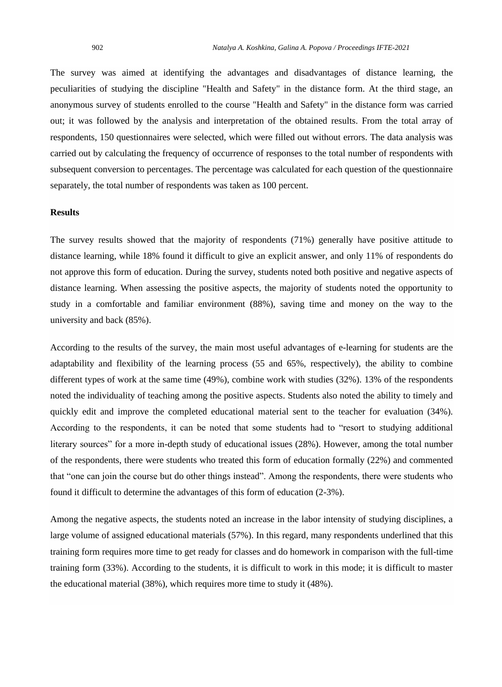The survey was aimed at identifying the advantages and disadvantages of distance learning, the peculiarities of studying the discipline "Health and Safety" in the distance form. At the third stage, an anonymous survey of students enrolled to the course "Health and Safety" in the distance form was carried out; it was followed by the analysis and interpretation of the obtained results. From the total array of respondents, 150 questionnaires were selected, which were filled out without errors. The data analysis was carried out by calculating the frequency of occurrence of responses to the total number of respondents with subsequent conversion to percentages. The percentage was calculated for each question of the questionnaire separately, the total number of respondents was taken as 100 percent.

## **Results**

The survey results showed that the majority of respondents (71%) generally have positive attitude to distance learning, while 18% found it difficult to give an explicit answer, and only 11% of respondents do not approve this form of education. During the survey, students noted both positive and negative aspects of distance learning. When assessing the positive aspects, the majority of students noted the opportunity to study in a comfortable and familiar environment (88%), saving time and money on the way to the university and back (85%).

According to the results of the survey, the main most useful advantages of e-learning for students are the adaptability and flexibility of the learning process (55 and 65%, respectively), the ability to combine different types of work at the same time (49%), combine work with studies (32%). 13% of the respondents noted the individuality of teaching among the positive aspects. Students also noted the ability to timely and quickly edit and improve the completed educational material sent to the teacher for evaluation (34%). According to the respondents, it can be noted that some students had to "resort to studying additional literary sources" for a more in-depth study of educational issues (28%). However, among the total number of the respondents, there were students who treated this form of education formally (22%) and commented that "one can join the course but do other things instead". Among the respondents, there were students who found it difficult to determine the advantages of this form of education (2-3%).

Among the negative aspects, the students noted an increase in the labor intensity of studying disciplines, a large volume of assigned educational materials (57%). In this regard, many respondents underlined that this training form requires more time to get ready for classes and do homework in comparison with the full-time training form (33%). According to the students, it is difficult to work in this mode; it is difficult to master the educational material (38%), which requires more time to study it (48%).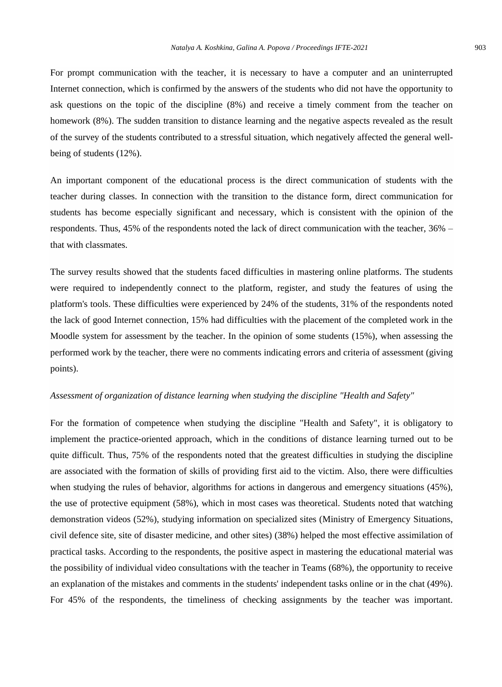For prompt communication with the teacher, it is necessary to have a computer and an uninterrupted Internet connection, which is confirmed by the answers of the students who did not have the opportunity to ask questions on the topic of the discipline (8%) and receive a timely comment from the teacher on homework (8%). The sudden transition to distance learning and the negative aspects revealed as the result of the survey of the students contributed to a stressful situation, which negatively affected the general wellbeing of students (12%).

An important component of the educational process is the direct communication of students with the teacher during classes. In connection with the transition to the distance form, direct communication for students has become especially significant and necessary, which is consistent with the opinion of the respondents. Thus, 45% of the respondents noted the lack of direct communication with the teacher, 36% – that with classmates.

The survey results showed that the students faced difficulties in mastering online platforms. The students were required to independently connect to the platform, register, and study the features of using the platform's tools. These difficulties were experienced by 24% of the students, 31% of the respondents noted the lack of good Internet connection, 15% had difficulties with the placement of the completed work in the Moodle system for assessment by the teacher. In the opinion of some students (15%), when assessing the performed work by the teacher, there were no comments indicating errors and criteria of assessment (giving points).

#### *Assessment of organization of distance learning when studying the discipline "Health and Safety"*

For the formation of competence when studying the discipline "Health and Safety", it is obligatory to implement the practice-oriented approach, which in the conditions of distance learning turned out to be quite difficult. Thus, 75% of the respondents noted that the greatest difficulties in studying the discipline are associated with the formation of skills of providing first aid to the victim. Also, there were difficulties when studying the rules of behavior, algorithms for actions in dangerous and emergency situations (45%), the use of protective equipment (58%), which in most cases was theoretical. Students noted that watching demonstration videos (52%), studying information on specialized sites (Ministry of Emergency Situations, civil defence site, site of disaster medicine, and other sites) (38%) helped the most effective assimilation of practical tasks. According to the respondents, the positive aspect in mastering the educational material was the possibility of individual video consultations with the teacher in Teams (68%), the opportunity to receive an explanation of the mistakes and comments in the students' independent tasks online or in the chat (49%). For 45% of the respondents, the timeliness of checking assignments by the teacher was important.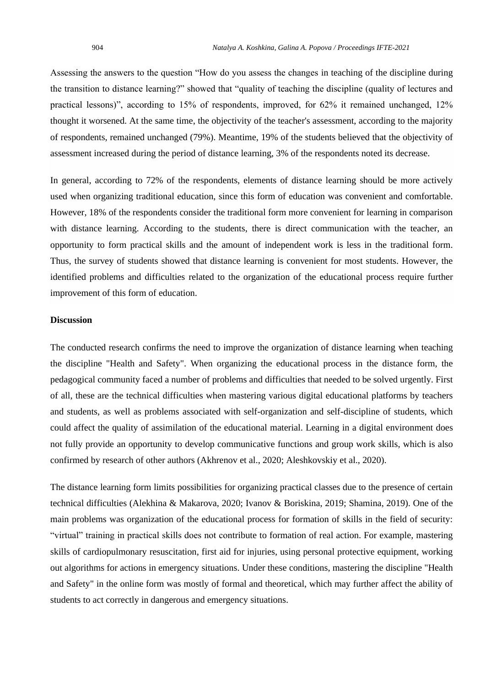Assessing the answers to the question "How do you assess the changes in teaching of the discipline during the transition to distance learning?" showed that "quality of teaching the discipline (quality of lectures and practical lessons)", according to 15% of respondents, improved, for 62% it remained unchanged, 12% thought it worsened. At the same time, the objectivity of the teacher's assessment, according to the majority of respondents, remained unchanged (79%). Meantime, 19% of the students believed that the objectivity of assessment increased during the period of distance learning, 3% of the respondents noted its decrease.

In general, according to 72% of the respondents, elements of distance learning should be more actively used when organizing traditional education, since this form of education was convenient and comfortable. However, 18% of the respondents consider the traditional form more convenient for learning in comparison with distance learning. According to the students, there is direct communication with the teacher, an opportunity to form practical skills and the amount of independent work is less in the traditional form. Thus, the survey of students showed that distance learning is convenient for most students. However, the identified problems and difficulties related to the organization of the educational process require further improvement of this form of education.

### **Discussion**

The conducted research confirms the need to improve the organization of distance learning when teaching the discipline "Health and Safety". When organizing the educational process in the distance form, the pedagogical community faced a number of problems and difficulties that needed to be solved urgently. First of all, these are the technical difficulties when mastering various digital educational platforms by teachers and students, as well as problems associated with self-organization and self-discipline of students, which could affect the quality of assimilation of the educational material. Learning in a digital environment does not fully provide an opportunity to develop communicative functions and group work skills, which is also confirmed by research of other authors (Akhrenov et al., 2020; Aleshkovskiy et al., 2020).

The distance learning form limits possibilities for organizing practical classes due to the presence of certain technical difficulties (Alekhina & Makarova, 2020; Ivanov & Boriskina, 2019; Shamina, 2019). One of the main problems was organization of the educational process for formation of skills in the field of security: "virtual" training in practical skills does not contribute to formation of real action. For example, mastering skills of cardiopulmonary resuscitation, first aid for injuries, using personal protective equipment, working out algorithms for actions in emergency situations. Under these conditions, mastering the discipline "Health and Safety" in the online form was mostly of formal and theoretical, which may further affect the ability of students to act correctly in dangerous and emergency situations.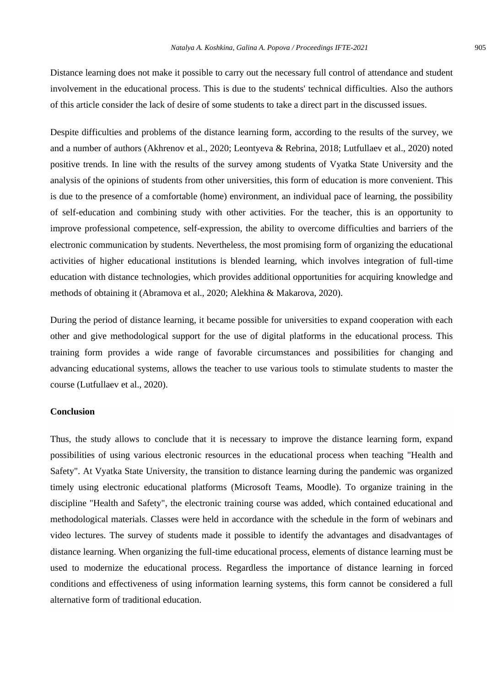Distance learning does not make it possible to carry out the necessary full control of attendance and student involvement in the educational process. This is due to the students' technical difficulties. Also the authors of this article consider the lack of desire of some students to take a direct part in the discussed issues.

Despite difficulties and problems of the distance learning form, according to the results of the survey, we and a number of authors (Akhrenov et al., 2020; Leontyeva & Rebrina, 2018; Lutfullaev et al., 2020) noted positive trends. In line with the results of the survey among students of Vyatka State University and the analysis of the opinions of students from other universities, this form of education is more convenient. This is due to the presence of a comfortable (home) environment, an individual pace of learning, the possibility of self-education and combining study with other activities. For the teacher, this is an opportunity to improve professional competence, self-expression, the ability to overcome difficulties and barriers of the electronic communication by students. Nevertheless, the most promising form of organizing the educational activities of higher educational institutions is blended learning, which involves integration of full-time education with distance technologies, which provides additional opportunities for acquiring knowledge and methods of obtaining it (Abramova et al., 2020; Alekhina & Makarova, 2020).

During the period of distance learning, it became possible for universities to expand cooperation with each other and give methodological support for the use of digital platforms in the educational process. This training form provides a wide range of favorable circumstances and possibilities for changing and advancing educational systems, allows the teacher to use various tools to stimulate students to master the course (Lutfullaev et al., 2020).

#### **Conclusion**

Thus, the study allows to conclude that it is necessary to improve the distance learning form, expand possibilities of using various electronic resources in the educational process when teaching "Health and Safety". At Vyatka State University, the transition to distance learning during the pandemic was organized timely using electronic educational platforms (Microsoft Teams, Moodle). To organize training in the discipline "Health and Safety", the electronic training course was added, which contained educational and methodological materials. Classes were held in accordance with the schedule in the form of webinars and video lectures. The survey of students made it possible to identify the advantages and disadvantages of distance learning. When organizing the full-time educational process, elements of distance learning must be used to modernize the educational process. Regardless the importance of distance learning in forced conditions and effectiveness of using information learning systems, this form cannot be considered a full alternative form of traditional education.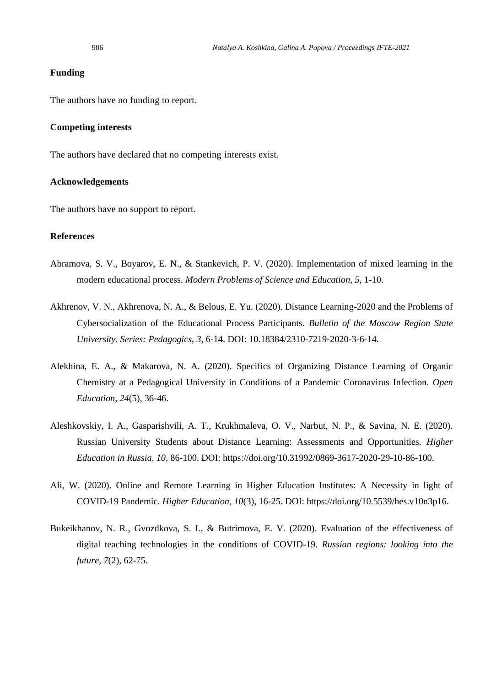#### **Funding**

The authors have no funding to report.

#### **Competing interests**

The authors have declared that no competing interests exist.

#### **Acknowledgements**

The authors have no support to report.

## **References**

- Abramova, S. V., Boyarov, E. N., & Stankevich, P. V. (2020). Implementation of mixed learning in the modern educational process. *Modern Problems of Science and Education, 5*, 1-10.
- Akhrenov, V. N., Akhrenova, N. A., & Belous, E. Yu. (2020). Distance Learning-2020 and the Problems of Cybersocialization of the Educational Process Participants. *Bulletin of the Moscow Region State University. Series: Pedagogics*, *3*, 6-14. DOI: 10.18384/2310-7219-2020-3-6-14.
- Alekhina, E. A., & Makarova, N. A. (2020). Specifics of Organizing Distance Learning of Organic Chemistry at a Pedagogical University in Conditions of a Pandemic Coronavirus Infection. *Open Education, 24*(5), 36-46.
- Aleshkovskiy, I. A., Gasparishvili, A. T., Krukhmaleva, O. V., Narbut, N. P., & Savina, N. E. (2020). Russian University Students about Distance Learning: Assessments and Opportunities. *Higher Education in Russia, 10,* 86-100. DOI: [https://doi.org/10.31992/0869-3617-2020-29-10-86-100.](https://doi.org/10.31992/0869-3617-2020-29-10-86-100)
- Ali, W. (2020). Online and Remote Learning in Higher Education Institutes: A Necessity in light of COVID-19 Pandemic. *Higher Education*, *10*(3), 16-25. DOI: [https://doi.org/10.5539/hes.v10n3p16.](https://doi.org/10.5539/hes.v10n3p16)
- Bukeikhanov, N. R., Gvozdkova, S. I., & Butrimova, E. V. (2020). Evaluation of the effectiveness of digital teaching technologies in the conditions of COVID-19. *Russian regions: looking into the future, 7*(2), 62-75.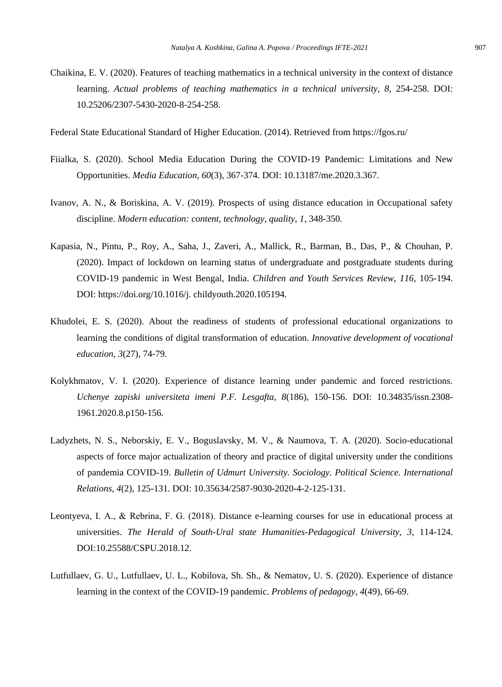Chaikina, E. V. (2020). Features of teaching mathematics in a technical university in the context of distance learning. *Actual problems of teaching mathematics in a technical university, 8,* 254-258. DOI: 10.25206/2307-5430-2020-8-254-258.

Federal State Educational Standard of Higher Education. (2014). Retrieved from<https://fgos.ru/>

- Fiialka, S. (2020). School Media Education During the COVID-19 Pandemic: Limitations and New Opportunities. *Media Education, 60*(3), 367-374. DOI: 10.13187/me.2020.3.367.
- Ivanov, A. N., & Boriskina, A. V. (2019). Prospects of using distance education in Occupational safety discipline. *Modern education: content, technology, quality, 1,* 348-350.
- Kapasia, N., Pintu, P., Roy, A., Saha, J., Zaveri, A., Mallick, R., Barman, B., Das, P., & Chouhan, P. (2020). Impact of lockdown on learning status of undergraduate and postgraduate students during COVID-19 pandemic in West Bengal, India. *Children and Youth Services Review, 116*, 105-194. DOI: [https://doi.org/10.1016/j.](https://doi.org/10.1016/j) childyouth.2020.105194.
- Khudolei, E. S. (2020). About the readiness of students of professional educational organizations to learning the conditions of digital transformation of education. *Innovative development of vocational education, 3*(27), 74-79.
- Kolykhmatov, V. I. (2020). Experience of distance learning under pandemic and forced restrictions. *Uchenye zapiski universiteta imeni P.F. Lesgafta, 8*(186), 150-156. DOI: 10.34835/issn.2308- 1961.2020.8.p150-156.
- Ladyzhets, N. S., Neborskiy, E. V., Boguslavsky, M. V., & Naumova, T. A. (2020). Socio-educational aspects of force major actualization of theory and practice of digital university under the conditions of pandemia COVID-19. *Bulletin of Udmurt University. Sociology. Political Science. International Relations, 4*(2), 125-131. DOI: 10.35634/2587-9030-2020-4-2-125-131.
- Leontyeva, I. А., & Rebrina, F. G. (2018). Distance e-learning courses for use in educational process at universities. *The Herald of South-Ural state Humanities-Pedagogical University, 3, 114-124.* DOI:10.25588/CSPU.2018.12.
- Lutfullaev, G. U., Lutfullaev, U. L., Kobilova, Sh. Sh., & Nematov, U. S. (2020). Experience of distance learning in the context of the COVID-19 pandemic. *Problems of pedagogy, 4*(49), 66-69.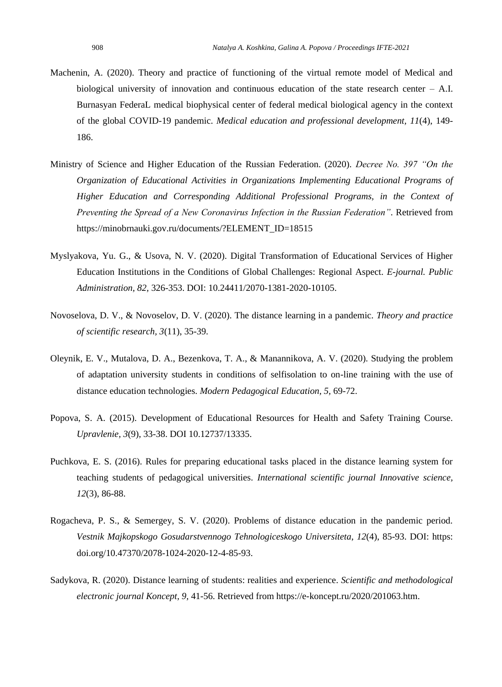- Machenin, A. (2020). Theory and practice of functioning of the virtual remote model of Medical and biological university of innovation and continuous education of the state research center  $-$  A.I. Burnasyan FederaL medical biophysical center of federal medical biological agency in the context of the global COVID-19 pandemic. *Medical education and professional development, 11*(4), 149- 186.
- Ministry of Science and Higher Education of the Russian Federation. (2020). *Decree No. 397 "On the Organization of Educational Activities in Organizations Implementing Educational Programs of Higher Education and Corresponding Additional Professional Programs, in the Context of Preventing the Spread of a New Coronavirus Infection in the Russian Federation"*. Retrieved from [https://minobrnauki.gov.ru/documents/?ELEMENT\\_ID=18515](https://minobrnauki.gov.ru/documents/?ELEMENT_ID=18515)
- Myslyakova, Yu. G., & Usova, N. V. (2020). Digital Transformation of Educational Services of Higher Education Institutions in the Conditions of Global Challenges: Regional Aspect. *E-journal. Public Administration, 82,* 326-353. DOI: 10.24411/2070-1381-2020-10105.
- Novoselova, D. V., & Novoselov, D. V. (2020). The distance learning in a pandemic. *Theory and practice of scientific research, 3*(11), 35-39.
- Oleynik, E. V., Mutalova, D. A., Bezenkova, T. A., & Manannikova, A. V. (2020). Studying the problem of adaptation university students in conditions of selfisolation to on-line training with the use of distance education technologies. *Modern Pedagogical Education, 5,* 69-72.
- Popova, S. A. (2015). Development of Educational Resources for Health and Safety Training Course. *Upravlenie, 3*(9), 33-38. DOI 10.12737/13335.
- Puchkova, E. S. (2016). Rules for preparing educational tasks placed in the distance learning system for teaching students of pedagogical universities. *International scientific journal Innovative science, 12*(3), 86-88.
- Rogacheva, P. S., & Semergey, S. V. (2020). Problems of distance education in the pandemic period. *Vestnik Majkopskogo Gosudarstvennogo Tehnologiceskogo Universiteta*, *12*(4), 85-93. DOI: https: doi.org/10.47370/2078-1024-2020-12-4-85-93.
- Sadykova, R. (2020). Distance learning of students: realities and experience. *Scientific and methodological electronic journal Koncept, 9,* 41-56. Retrieved from [https://e-koncept.ru/2020/201063.htm.](https://e-koncept.ru/2020/201063.htm)